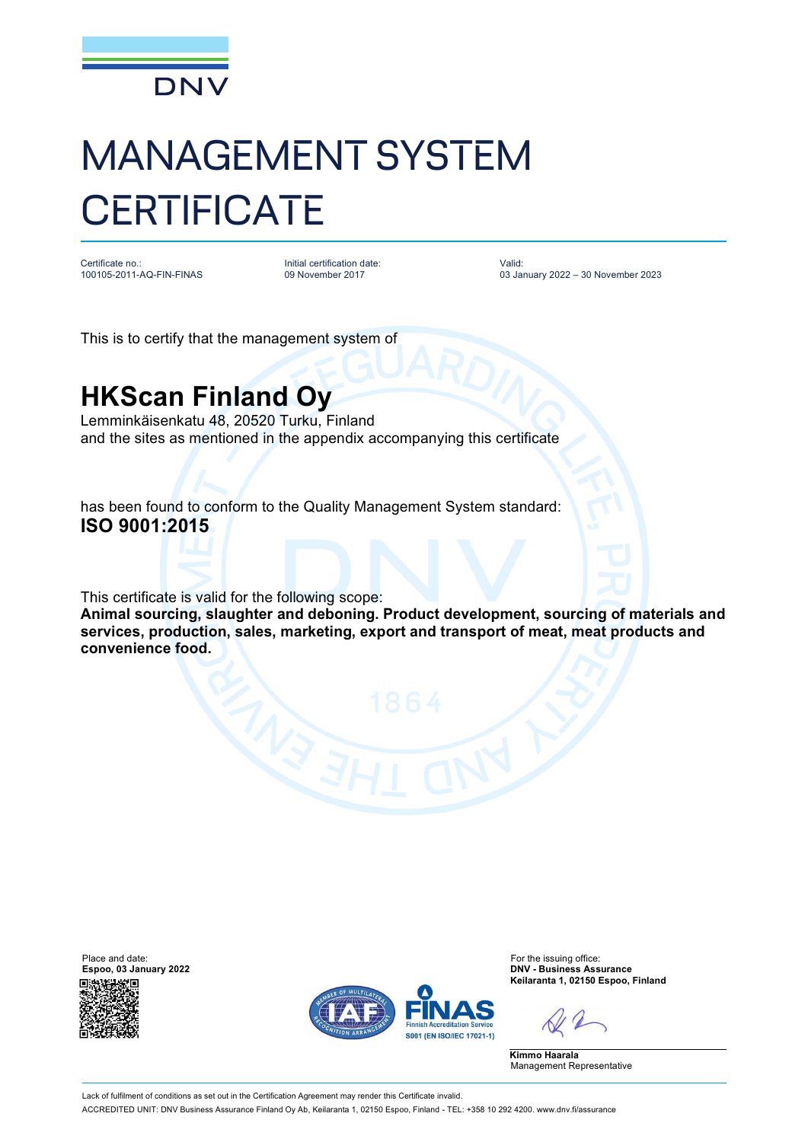

## MANAGEMENT SYSTEM **CERTIFICATE**

Certificate no.: 100105-2011-AQ-FIN-FINAS

Initial certification date: 09 November 2017

Valid: 03 January 2022 – 30 November 2023

This is to certify that the management system of

## **HKScan Finland Oy**

Lemminkäisenkatu 48, 20520 Turku, Finland and the sites as mentioned in the appendix accompanying this certificate

has been found to conform to the Quality Management System standard: **ISO 9001:2015**

This certificate is valid for the following scope:

**Animal sourcing, slaughter and deboning. Product development, sourcing of materials and services, production, sales, marketing, export and transport of meat, meat products and convenience food.**





**Espoo, 03 January 2022 DNV - Business Assurance Keilaranta 1, 02150 Espoo, Finland**

**Kimmo Haarala** Management Representative

Lack of fulfilment of conditions as set out in the Certification Agreement may render this Certificate invalid. ACCREDITED UNIT: DNV Business Assurance Finland Oy Ab, Keilaranta 1, 02150 Espoo, Finland - TEL: +358 10 292 4200. [www.dnv.fi/assurance](http://www.dnv.fi/assurance)